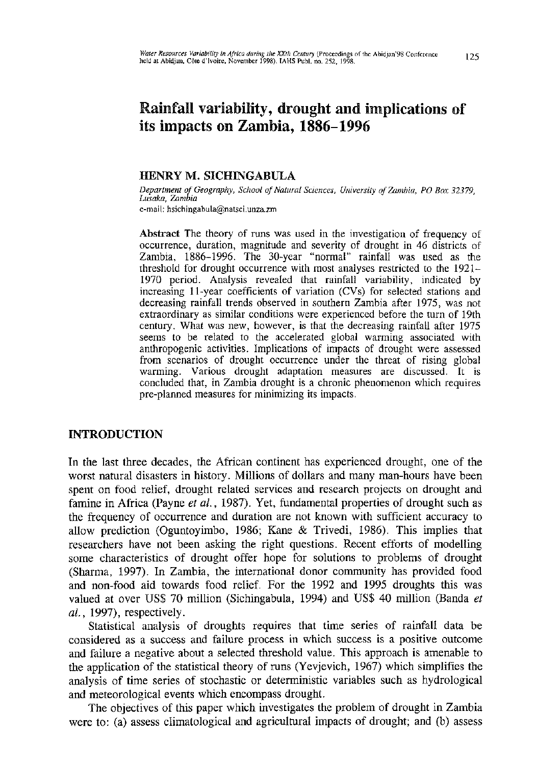# Rainfall variability, drought and implications of its impacts on Zambia, 1886-1996

## HENRY M. SICHINGABULA

*Department of Geography, School of Natural Sciences, University of Zambia, PO Box 32379, Lusaka, Zambia*  e-mail: [hsichingabula@natsci.unza.zm](mailto:hsichingabula@natsci.unza.zm)

Abstract The theory of runs was used in the investigation of frequency of occurrence, duration, magnitude and severity of drought in 46 districts of Zambia, 1886-1996. The 30-year "normal" rainfall was used as the threshold for drought occurrence with most analyses restricted to the 1921- 1970 period. Analysis revealed that rainfall variability, indicated by increasing 11-year coefficients of variation (CVs) for selected stations and decreasing rainfall trends observed in southern Zambia after 1975, was not extraordinary as similar conditions were experienced before the turn of 19th century. What was new, however, is that the decreasing rainfall after 1975 seems to be related to the accelerated global warming associated with anthropogenic activities. Implications of impacts of drought were assessed from scenarios of drought occurrence under the threat of rising global warming. Various drought adaptation measures are discussed. It is concluded that, in Zambia drought is a chronic phenomenon which requires pre-planned measures for minimizing its impacts.

# INTRODUCTION

In the last three decades, the African continent has experienced drought, one of the worst natural disasters in history. Millions of dollars and many man-hours have been spent on food relief, drought related services and research projects on drought and famine in Africa (Payne *et al.*, 1987). Yet, fundamental properties of drought such as the frequency of occurrence and duration are not known with sufficient accuracy to allow prediction (Oguntoyimbo, 1986; Kane & Trivedi, 1986). This implies that researchers have not been asking the right questions. Recent efforts of modelling some characteristics of drought offer hope for solutions to problems of drought (Sharma, 1997). In Zambia, the international donor community has provided food and non-food aid towards food relief. For the 1992 and 1995 droughts this was valued at over US\$ 70 million (Sichingabula, 1994) and US\$ 40 million (Banda *et al,* 1997), respectively.

Statistical analysis of droughts requires that time series of rainfall data be considered as a success and failure process in which success is a positive outcome and failure a negative about a selected threshold value. This approach is amenable to the application of the statistical theory of runs (Yevjevich, 1967) which simplifies the analysis of time series of stochastic or deterministic variables such as hydroiogical and meteorological events which encompass drought.

The objectives of this paper which investigates the problem of drought in Zambia were to: (a) assess climatological and agricultural impacts of drought; and (b) assess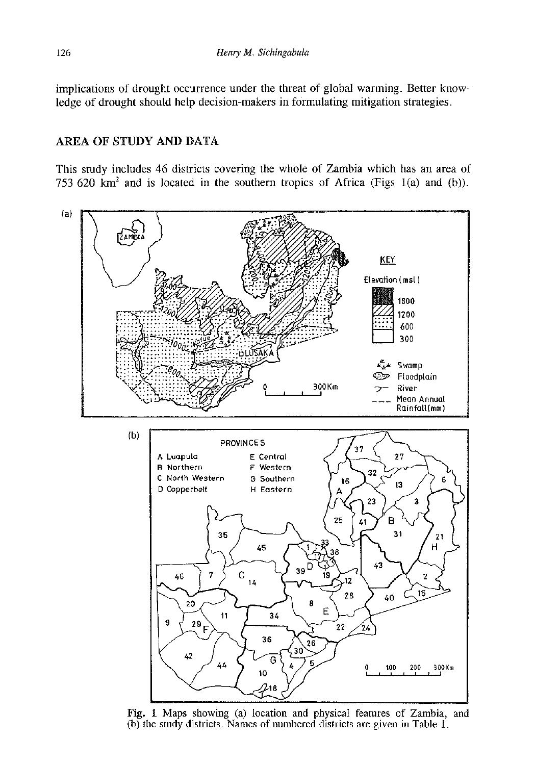implications of drought occurrence under the threat of global warming. Better knowledge of drought should help decision-makers in formulating mitigation strategies.

# AREA OF STUDY AND DATA

This study includes 46 districts covering the whole of Zambia which has an area of 753 620 km<sup>2</sup> and is located in the southern tropics of Africa (Figs 1(a) and (b)).



Fig. 1 Maps showing (a) location and physical features of Zambia, and (b) the study districts. Names of numbered districts are given in Table 1.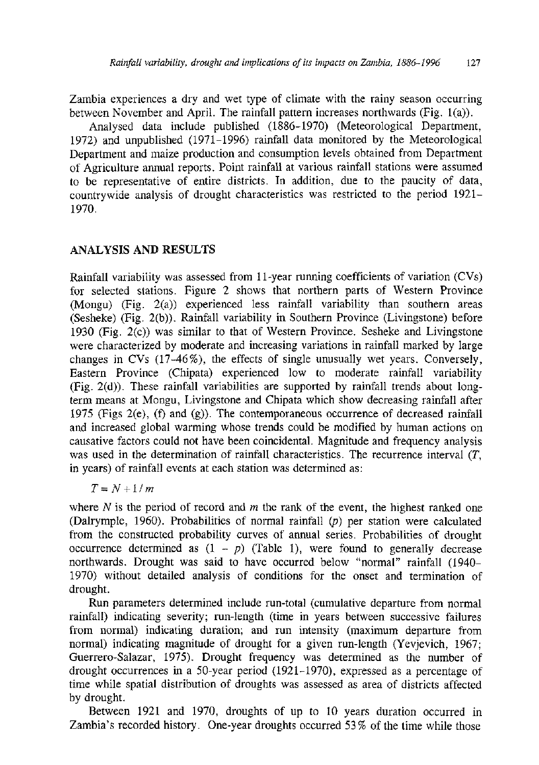Zambia experiences a dry and wet type of climate with the rainy season occurring between November and April. The rainfall pattern increases northwards (Fig. 1(a)).

Analysed data include published (1886-1970) (Meteorological Department, 1972) and unpublished (1971-1996) rainfall data monitored by the Meteorological Department and maize production and consumption levels obtained from Department of Agriculture annual reports. Point rainfall at various rainfall stations were assumed to be representative of entire districts. In addition, due to the paucity of data, countrywide analysis of drought characteristics was restricted to the period 1921- 1970.

## ANALYSIS AND RESULTS

Rainfall variability was assessed from 11-year running coefficients of variation (CVs) for selected stations. Figure 2 shows that northern parts of Western Province (Mongu) (Fig. 2(a)) experienced less rainfall variability than southern areas (Sesheke) (Fig. 2(b)). Rainfall variability in Southern Province (Livingstone) before 1930 (Fig. 2(c)) was similar to that of Western Province. Sesheke and Livingstone were characterized by moderate and increasing variations in rainfall marked by large changes in CVs (17-46%), the effects of single unusually wet years. Conversely, Eastern Province (Chipata) experienced low to moderate rainfall variability (Fig. 2(d)). These rainfall variabilities are supported by rainfall trends about longterm means at Mongu, Livingstone and Chipata which show decreasing rainfall after 1975 (Figs 2(e), (f) and (g)). The contemporaneous occurrence of decreased rainfall and increased global warming whose trends could be modified by human actions on causative factors could not have been coincidental. Magnitude and frequency analysis was used in the determination of rainfall characteristics. The recurrence interval *(T,*  in years) of rainfall events at each station was determined as:

## $T = N + 1/m$

where *N* is the period of record and *m* the rank of the event, the highest ranked one (Dalrymple, 1960). Probabilities of normal rainfall *(p)* per station were calculated from the constructed probability curves of annual series. Probabilities of drought occurrence determined as  $(1 - p)$  (Table 1), were found to generally decrease northwards. Drought was said to have occurred below "normal" rainfall (1940- 1970) without detailed analysis of conditions for the onset and termination of drought.

Run parameters determined include run-total (cumulative departure from normal rainfall) indicating severity; run-length (time in years between successive failures from normal) indicating duration; and run intensity (maximum departure from normal) indicating magnitude of drought for a given run-length (Yevjevich, 1967; Guerrero-Salazar, 1975). Drought frequency was determined as the number of drought occurrences in a 50-year period (1921-1970), expressed as a percentage of time while spatial distribution of droughts was assessed as area of districts affected by drought.

Between 1921 and 1970, droughts of up to 10 years duration occurred in Zambia's recorded history. One-year droughts occurred 53% of the time while those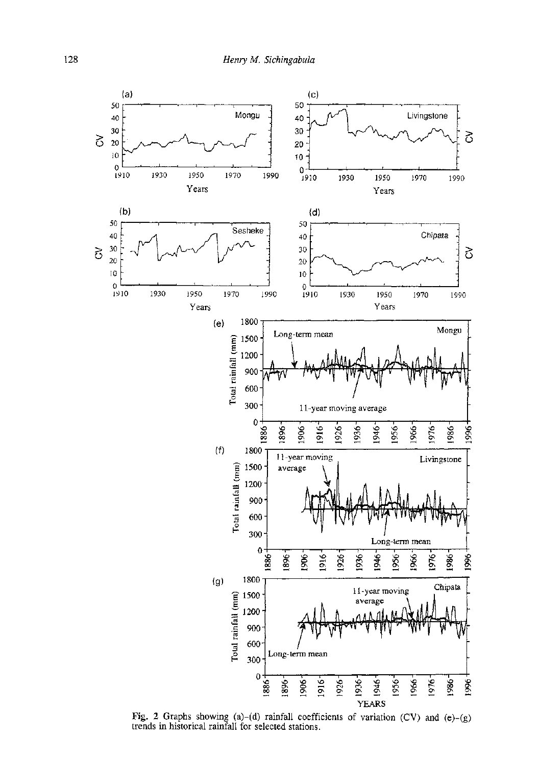

Fig. 2 Graphs showing  $(a)-(d)$  rainfall coefficients of variation  $(CV)$  and  $(e)$ trends in historical rainfall for selected stations.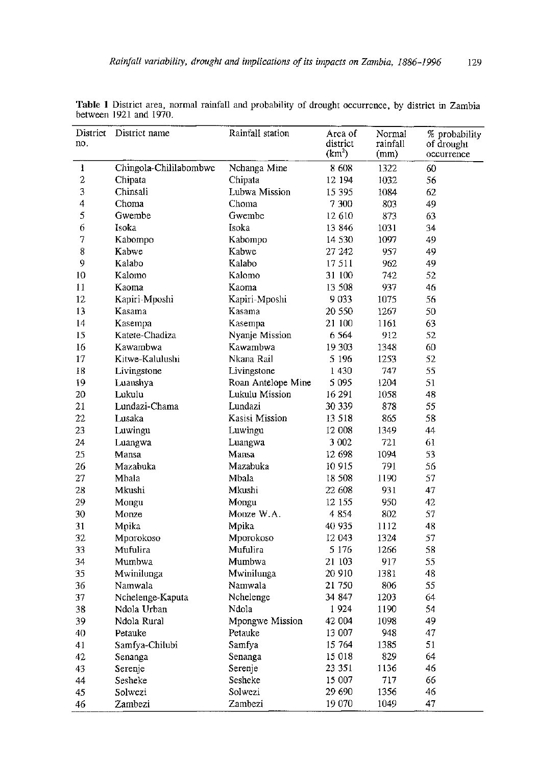| District<br>no. | District name          | Rainfall station   | Area of<br>district<br>(km <sup>2</sup> ) | Normal<br>rainfall<br>(mm) | % probability<br>of drought<br>occurrence |
|-----------------|------------------------|--------------------|-------------------------------------------|----------------------------|-------------------------------------------|
| 1               | Chingola-Chililabombwe | Nchanga Mine       | 8 608                                     | 1322                       | 60                                        |
| 2               | Chipata                | Chipata            | 12 194                                    | 1032                       | 56                                        |
| 3               | Chinsali               | Lubwa Mission      | 15 3 95                                   | 1084                       | 62                                        |
| 4               | Choma                  | Choma              | 7 300                                     | 803                        | 49                                        |
| 5               | Gwembe                 | Gwembe             | 12 610                                    | 873                        | 63                                        |
| 6               | Isoka                  | Isoka              | 13 846                                    | 1031                       | 34                                        |
| 7               | Kabompo                | Kabompo            | 14 530                                    | 1097                       | 49                                        |
| 8               | Kabwe                  | Kabwe              | 27 242                                    | 957                        | 49                                        |
| 9               | Kalabo                 | Kalabo             | 17511                                     | 962                        | 49                                        |
| 10              | Kalomo                 | Kalomo             | 31 100                                    | 742                        | 52                                        |
| 11              | Kaoma                  | Kaoma              | 13 508                                    | 937                        | 46                                        |
| 12              | Kapiri-Mposhi          | Kapiri-Mposhi      | 9033                                      | 1075                       | 56                                        |
| 13              | Kasama                 | Kasama             | 20 550                                    | 1267                       | 50                                        |
| 14              | Kasempa                | Kasempa            | 21 100                                    | 1161                       | 63                                        |
| 15              | Katete-Chadiza         | Nyanje Mission     | 6564                                      | 912                        | 52                                        |
| 16              | Kawambwa               | Kawambwa           | 19 303                                    | 1348                       | 60                                        |
| 17              | Kitwe-Kalulushi        | Nkana Rail         | 5 196                                     | 1253                       | 52                                        |
| 18              | Livingstone            | Livingstone        | 1430                                      | 747                        | 55                                        |
| 19              | Luanshya               | Roan Antelope Mine | 5 0 9 5                                   | 1204                       | 51                                        |
| 20              | Lukulu                 | Lukulu Mission     | 16 29 1                                   | 1058                       | 48                                        |
| 21              | Lundazi-Chama          | Lundazi            | 30 339                                    | 878                        | 55                                        |
| 22              | Lusaka                 | Kasisi Mission     | 13 518                                    | 865                        | 58                                        |
| 23              | Luwingu                | Luwingu            | 12 008                                    | 1349                       | 44                                        |
| 24              | Luangwa                | Luangwa            | 3 0 0 2                                   | 721                        | 61                                        |
| 25              | Mansa                  | Mansa              | 12 698                                    | 1094                       | 53                                        |
| 26              | Mazabuka               | Mazabuka           | 10915                                     | 791                        | 56                                        |
| 27              | Mbala                  | Mbala              | 18 508                                    | 1190                       | 57                                        |
| 28              | Mkushi                 | Mkushi             | 22 608                                    | 931                        | 47                                        |
| 29              | Mongu                  | Mongu              | 12 155                                    | 950                        | 42                                        |
| 30              | Monze                  | Monze W.A.         | 4854                                      | 802                        | 57                                        |
| 31              | Mpika                  | Mpika              | 40 935                                    | 1112                       | 48                                        |
| 32              | Mporokoso              | Mporokoso          | 12 043                                    | 1324                       | 57                                        |
| 33              | Mufulira               | Mufulira           | 5 1 7 6                                   | 1266                       | 58                                        |
| 34              | Mumbwa                 | Mumbwa             | 21 103                                    | 917                        | 55                                        |
| 35              | Mwinilunga             | Mwinilunga         | 20 910                                    | 1381                       | 48                                        |
| 36              | Namwala                | Namwala            | 21 750                                    | 806                        | 55                                        |
| 37              | Nchelenge-Kaputa       | Nchelenge          | 34 847                                    | 1203                       | 64                                        |
| 38              | Ndola Urban            | Ndola              | 1924                                      | 1190                       | 54                                        |
| 39              | Ndola Rural            | Mpongwe Mission    | 42 004                                    | 1098                       | 49                                        |
| 40              | Petauke                | Petauke            | 13 007                                    | 948                        | 47                                        |
| 41              | Samfya-Chilubi         | Samfya             | 15 764                                    | 1385                       | 51                                        |
| 42              | Senanga                | Senanga            | 15 018                                    | 829                        | 64                                        |
| 43              | Serenje                | Serenje            | 23 351                                    | 1136                       | 46                                        |
| 44              | Sesheke                | Sesheke            | 15 007                                    | 717                        | 66                                        |
| 45              | Solwezi                | Solwezi            | 29 690                                    | 1356                       | 46                                        |
| 46              | Zambezi                | Zambezi            | 19 070                                    | 1049                       | 47                                        |

Table 1 District area, normal rainfall and probability of drought occurrence, by district in Zambia between 1921 and 1970.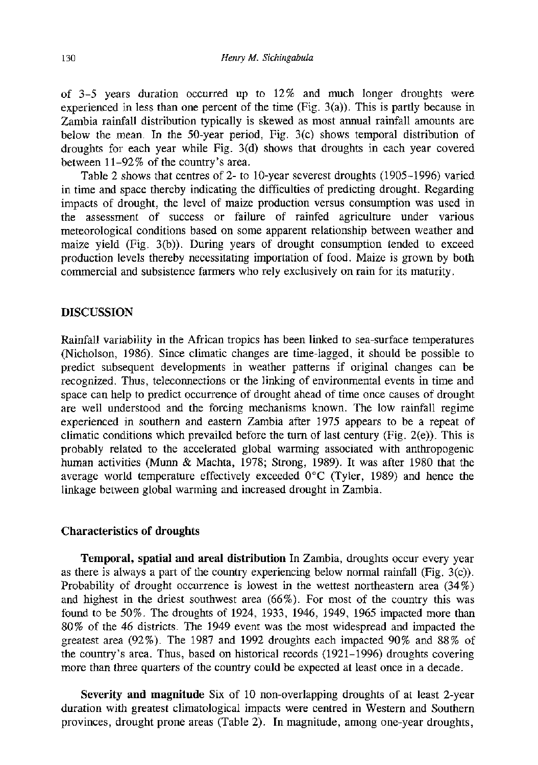of 3-5 years duration occurred up to 12% and much longer droughts were experienced in less than one percent of the time (Fig.  $3(a)$ ). This is partly because in Zambia rainfall distribution typically is skewed as most annual rainfall amounts are below the mean. In the 50-year period, Fig. 3(c) shows temporal distribution of droughts for each year while Fig. 3(d) shows that droughts in each year covered between 11-92% of the country's area.

Table 2 shows that centres of 2- to 10-year severest droughts (1905-1996) varied in time and space thereby indicating the difficulties of predicting drought. Regarding impacts of drought, the level of maize production versus consumption was used in the assessment of success or failure of rainfed agriculture under various meteorological conditions based on some apparent relationship between weather and maize yield (Fig. 3(b)). During years of drought consumption tended to exceed production levels thereby necessitating importation of food. Maize is grown by both commercial and subsistence farmers who rely exclusively on rain for its maturity.

## DISCUSSION

Rainfall variability in the African tropics has been linked to sea-surface temperatures (Nicholson, 1986). Since climatic changes are time-lagged, it should be possible to predict subsequent developments in weather patterns if original changes can be recognized. Thus, teleconnections or the linking of environmental events in time and space can help to predict occurrence of drought ahead of time once causes of drought are well understood and the forcing mechanisms known. The low rainfall regime experienced in southern and eastern Zambia after 1975 appears to be a repeat of climatic conditions which prevailed before the turn of last century (Fig. 2(e)). This is probably related to the accelerated global warming associated with anthropogenic human activities (Munn & Machta, 1978; Strong, 1989). It was after 1980 that the average world temperature effectively exceeded 0°C (Tyler, 1989) and hence the linkage between global warming and increased drought in Zambia.

### Characteristics of droughts

Temporal, spatial and areal distribution In Zambia, droughts occur every year as there is always a part of the country experiencing below normal rainfall (Fig.  $3(c)$ ). Probability of drought occurrence is lowest in the wettest northeastern area (34%) and highest in the driest southwest area (66%). For most of the country this was found to be 50%. The droughts of 1924, 1933, 1946, 1949, 1965 impacted more than 80% of the 46 districts. The 1949 event was the most widespread and impacted the greatest area (92%). The 1987 and 1992 droughts each impacted 90% and 88% of the country's area. Thus, based on historical records (1921-1996) droughts covering more than three quarters of the country could be expected at least once in a decade.

Severity and magnitude Six of 10 non-overlapping droughts of at least 2-year duration with greatest climatological impacts were centred in Western and Southern provinces, drought prone areas (Table 2). In magnitude, among one-year droughts,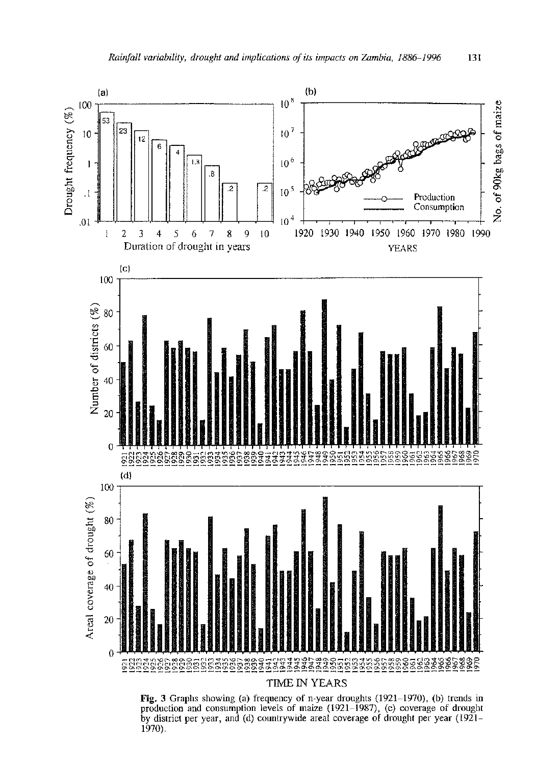

Fig. 3 Graphs showing (a) frequency of n-year droughts (1921-1970), (b) trends in production and consumption levels of maize (1921-1987), (c) coverage of drought by district per year, and (d) countrywide areal coverage of drought per year (1921- 1970).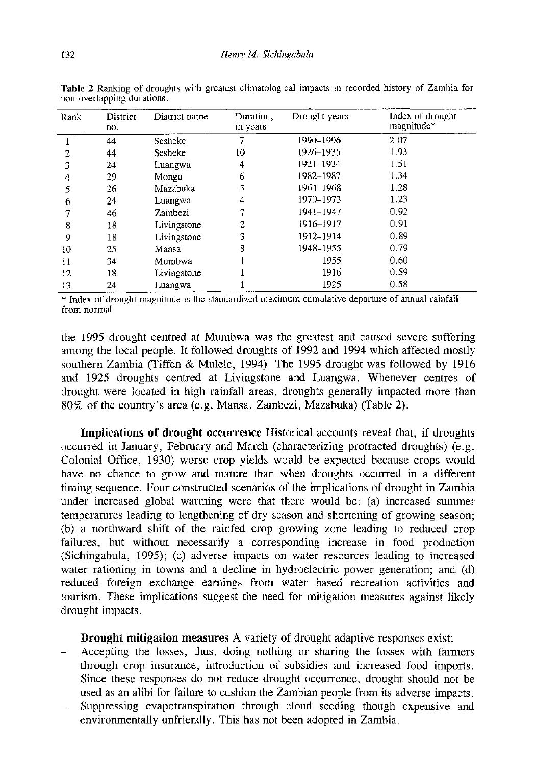| Rank | <b>District</b><br>no. | District name | Duration,<br>in vears | Drought years | Index of drought<br>magnitude* |
|------|------------------------|---------------|-----------------------|---------------|--------------------------------|
|      | 44                     | Sesheke       |                       | 1990-1996     | 2.07                           |
| 2    | 44                     | Sesheke       | 10                    | 1926-1935     | 1.93                           |
| 3    | 24                     | Luangwa       | 4                     | 1921–1924     | 1.51                           |
| 4    | 29                     | Mongu         | 6                     | 1982-1987     | 1.34                           |
| 5    | 26                     | Mazabuka      | 5                     | 1964-1968     | 1.28                           |
| 6    | 24                     | Luangwa       | 4                     | 1970-1973     | 1.23                           |
|      | 46                     | Zambezi       |                       | 1941-1947     | 0.92                           |
| 8    | 18                     | Livingstone   | 2                     | 1916-1917     | 0.91                           |
| 9    | 18                     | Livingstone   | 3                     | 1912-1914     | 0.89                           |
| 10   | 25                     | Mansa         | 8                     | 1948-1955     | 0.79                           |
| 11   | 34                     | Mumbwa        |                       | 1955          | 0.60                           |
| 12   | 18                     | Livingstone   |                       | 1916          | 0.59                           |
| 13   | 24                     | Luangwa       |                       | 1925          | 0.58                           |

Table 2 Ranking of droughts with greatest climatological impacts in recorded history of Zambia for non-overlapping durations.

\* Index of drought magnitude is the standardized maximum cumulative departure of annual rainfall from normal.

the 1995 drought centred at Mumbwa was the greatest and caused severe suffering among the local people. It followed droughts of 1992 and 1994 which affected mostly southern Zambia (Tiffen & Mulele, 1994). The 1995 drought was followed by 1916 and 1925 droughts centred at Livingstone and Luangwa. Whenever centres of drought were located in high rainfall areas, droughts generally impacted more than 80% of the country's area (e.g. Mansa, Zambezi, Mazabuka) (Table 2).

Implications of drought occurrence Historical accounts reveal that, if droughts occurred in January, February and March (characterizing protracted droughts) (e.g. Colonial Office, 1930) worse crop yields would be expected because crops would have no chance to grow and mature than when droughts occurred in a different timing sequence. Four constructed scenarios of the implications of drought in Zambia under increased global warming were that there would be: (a) increased summer temperatures leading to lengthening of dry season and shortening of growing season; (b) a northward shift of the rainfed crop growing zone leading to reduced crop failures, but without necessarily a corresponding increase in food production (Sichingabula, 1995); (c) adverse impacts on water resources leading to increased water rationing in towns and a decline in hydroelectric power generation; and (d) reduced foreign exchange earnings from water based recreation activities and tourism. These implications suggest the need for mitigation measures against likely drought impacts.

Drought mitigation measures A variety of drought adaptive responses exist:

- Accepting the losses, thus, doing nothing or sharing the losses with farmers through crop insurance, introduction of subsidies and increased food imports. Since these responses do not reduce drought occurrence, drought should not be used as an alibi for failure to cushion the Zambian people from its adverse impacts.
- Suppressing évapotranspiration through cloud seeding though expensive and environmentally unfriendly. This has not been adopted in Zambia.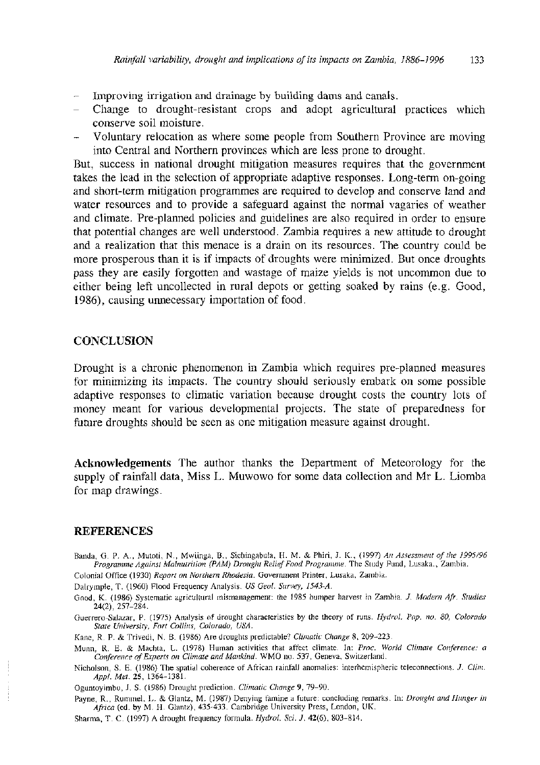- Improving irrigation and drainage by building dams and canals.
- Change to drought-resistant crops and adopt agricultural practices which conserve soil moisture.
- Voluntary relocation as where some people from Southern Province are moving into Central and Northern provinces which are less prone to drought.

But, success in national drought mitigation measures requires that the government takes the lead in the selection of appropriate adaptive responses. Long-term on-going and short-term mitigation programmes are required to develop and conserve land and water resources and to provide a safeguard against the normal vagaries of weather and climate. Pre-planned policies and guidelines are also required in order to ensure that potential changes are well understood. Zambia requires a new attitude to drought and a realization that this menace is a drain on its resources. The country could be more prosperous than it is if impacts of droughts were minimized. But once droughts pass they are easily forgotten and wastage of maize yields is not uncommon due to either being left uncollected in rural depots or getting soaked by rains (e.g. Good, 1986), causing unnecessary importation of food.

#### **CONCLUSION**

Drought is a chronic phenomenon in Zambia which requires pre-planned measures for minimizing its impacts. The country should seriously embark on some possible adaptive responses to climatic variation because drought costs the country lots of money meant for various developmental projects. The state of preparedness for future droughts should be seen as one mitigation measure against drought.

Acknowledgements The author thanks the Department of Meteorology for the supply of rainfall data, Miss L. Muwowo for some data collection and Mr L. Liomba for map drawings.

### REFERENCES

- Banda, G. P. A., Mutoti, N., Mwiinga, B., Sichingabula, H. M. & Phiri, J. K., (1997) *An Assessment of the 1995/96 Programme Against Malnutrition (PAM) Drought Relief Food Programme.* The Study Fund, Lusaka., Zambia.
- Colonial Office (1930) *Report on Northern Rhodesia.* Government Printer, Lusaka, Zambia.

Dalrymple, T. (1960) Flood Frequency Analysis. *US Geol. Survey, 1543-A.* 

Guerrero-Salazar, P. (1975) Analysis of drought characteristics by the theory of runs. *Hydrol. Pap. no. 80, Colorado State University, Fort Collins, Colorado, USA.* 

Kane, R. P. & Trivedi, N. B. (1986) Are droughts predictable? *Climatic Change* 8, 209-223.

Munn, R. E. & Machta, L. (1978) Human activities that affect climate. In: *Proc. World Climate Conference: a Conference of Experts on Climate and Mankind.* WMO no. 537, Geneva, Switzerland.

Nicholson, S. E. (1986) The spatial coherence of African rainfall anomalies: interhemispheric teleconnections. *J. Clim. Appl. Met.* 25, 1364-1381.

Oguntoyimbo, J. S. (1986) Drought prediction. *Climatic Change* 9, 79-90.

Payne, R., Rummel, L. & Glantz, M. (1987) Denying famine a future: concluding remarks. In: *Drought and Hunger in Africa* (ed. by M. H. Glantz), 435-433. Cambridge University Press, London, UK.

Sharma, T. C. (1997) A drought frequency formula. *Hydrol. Sci. J.* 42(6), 803-814.

Good, K. (1986) Systematic agricultural mismanagement: the 1985 bumper harvest in Zambia. *J. Modern Afr. Studies*  24(2), 257-284.